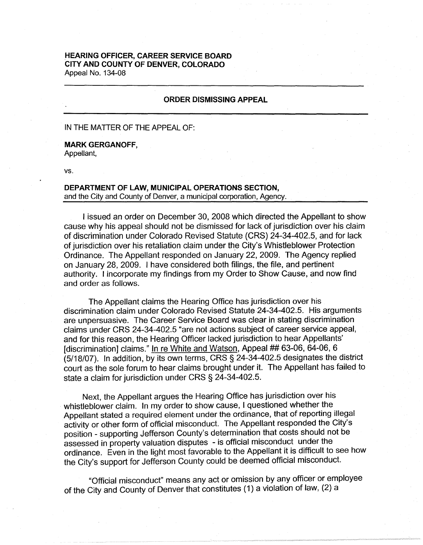## **HEARING OFFICER, CAREER SERVICE BOARD CITY AND COUNTY OF DENVER, COLORADO**  Appeal No. 134-08

## **ORDER DISMISSING APPEAL**

#### IN THE MATTER OF THE APPEAL OF:

# **MARK GERGANOFF,**

Appellant,

vs.

# **DEPARTMENT OF LAW, MUNICIPAL OPERATIONS SECTION,**  and the City and County of Denver, a municipal corporation, Agency.

I issued an order on December 30, 2008 which directed the Appellant to show cause why his appeal should not be dismissed for lack of jurisdiction over his claim of discrimination under Colorado Revised Statute (CRS) 24-34-402.5, and for lack of jurisdiction over his retaliation claim under the City's Whistleblower Protection Ordinance. The Appellant responded on January 22, 2009. The Agency replied on January 28, 2009. I have considered both filings, the file, and pertinent authority. I incorporate my findings from my Order to Show Cause, and now find and order as follows.

The Appellant claims the Hearing Office has jurisdiction over his discrimination claim under Colorado Revised Statute 24-34-402.5. His arguments are unpersuasive. The Career Service Board was clear in stating discrimination claims under CRS 24-34-402.5 "are not actions subject of career service appeal, and for this reason, the Hearing Officer lacked jurisdiction to hear Appellants' [discrimination] claims." In re White and Watson, Appeal ## 63-06, 64-06, 6 (5/18/07). In addition, by its own terms, CRS § 24-34-402.5 designates the district court as the sole forum to hear claims brought under it. The Appellant has failed to state a claim for jurisdiction under CRS § 24-34-402.5.

Next, the Appellant argues the Hearing Office has jurisdiction over his whistleblower claim. In my order to show cause, I questioned whether the Appellant stated a required element under the ordinance, that of reporting illegal activity or other form of official misconduct. The Appellant responded the City's position - supporting Jefferson County's determination that costs should not be assessed in property valuation disputes - is official misconduct under the ordinance. Even in the light most favorable to the Appellant it is difficult to see how the City's support for Jefferson County could be deemed official misconduct.

"Official misconduct" means any act or omission by any officer or employee of the City and County of Denver that constitutes (1) a violation of law, (2) a